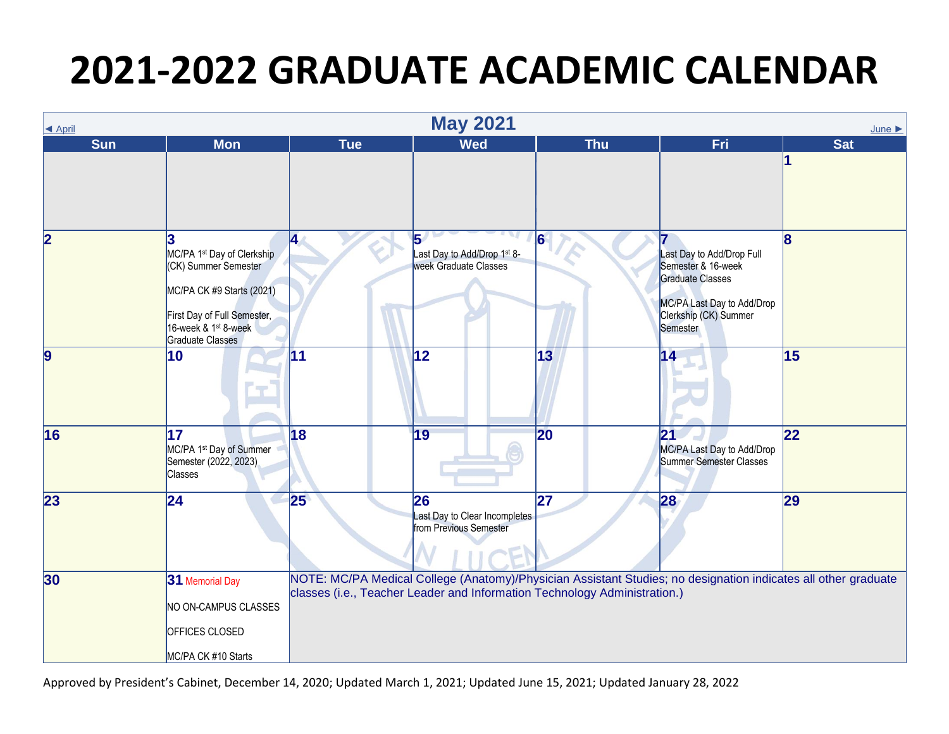| ◀ April                 |                                                                                                                                                                                    |            | <b>May 2021</b>                                                                                                                                                                             |                 |                                                                                                                                        | $June \triangleright$ |
|-------------------------|------------------------------------------------------------------------------------------------------------------------------------------------------------------------------------|------------|---------------------------------------------------------------------------------------------------------------------------------------------------------------------------------------------|-----------------|----------------------------------------------------------------------------------------------------------------------------------------|-----------------------|
| <b>Sun</b>              | <b>Mon</b>                                                                                                                                                                         | <b>Tue</b> | <b>Wed</b>                                                                                                                                                                                  | <b>Thu</b>      | <b>Fri</b>                                                                                                                             | <b>Sat</b>            |
|                         |                                                                                                                                                                                    |            |                                                                                                                                                                                             |                 |                                                                                                                                        |                       |
| $\overline{\mathbf{2}}$ | 3<br>MC/PA 1st Day of Clerkship<br>(CK) Summer Semester<br>MC/PA CK #9 Starts (2021)<br>First Day of Full Semester,<br>16-week & 1 <sup>st</sup> 8-week<br><b>Graduate Classes</b> | <b>4</b>   | $\overline{5}$<br>Last Day to Add/Drop 1st 8-<br>week Graduate Classes                                                                                                                      | $\vert 6 \vert$ | Last Day to Add/Drop Full<br>Semester & 16-week<br>Graduate Classes<br>MC/PA Last Day to Add/Drop<br>Clerkship (CK) Summer<br>Semester | 8                     |
| $\overline{9}$          | 10                                                                                                                                                                                 | 11         | 12                                                                                                                                                                                          | 13              | 14                                                                                                                                     | 15                    |
| 16                      | 17<br>MC/PA 1 <sup>st</sup> Day of Summer<br>Semester (2022, 2023)<br><b>Classes</b>                                                                                               | 18         | 19                                                                                                                                                                                          | 20              | 21<br>MC/PA Last Day to Add/Drop<br>Summer Semester Classes                                                                            | $\overline{22}$       |
| 23                      | $ 24\rangle$                                                                                                                                                                       | 25         | 26<br>Last Day to Clear Incompletes<br>from Previous Semester                                                                                                                               | 27              | 28                                                                                                                                     | 29                    |
| 30                      | 31 Memorial Day<br>NO ON-CAMPUS CLASSES<br>OFFICES CLOSED<br>MC/PA CK #10 Starts                                                                                                   |            | NOTE: MC/PA Medical College (Anatomy)/Physician Assistant Studies; no designation indicates all other graduate<br>classes (i.e., Teacher Leader and Information Technology Administration.) |                 |                                                                                                                                        |                       |

Approved by President's Cabinet, December 14, 2020; Updated March 1, 2021; Updated June 15, 2021; Updated January 28, 2022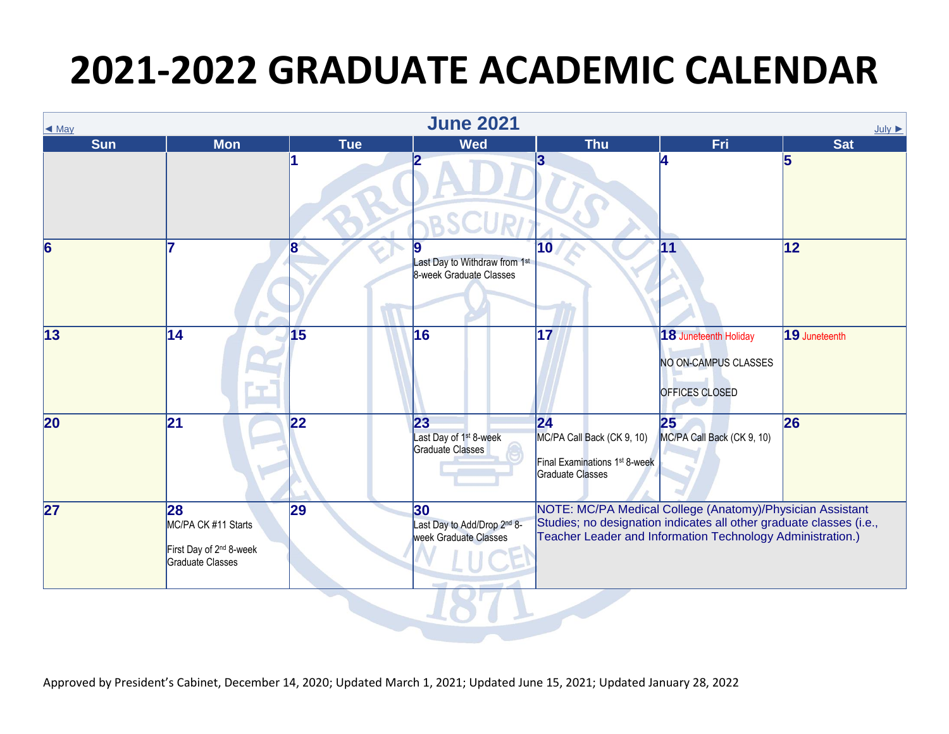| $\triangleleft$ May      |                                                                                      |            | <b>June 2021</b>                                             |                                                                                                                                                                                                |                                                                 | $July \rightarrow$ |
|--------------------------|--------------------------------------------------------------------------------------|------------|--------------------------------------------------------------|------------------------------------------------------------------------------------------------------------------------------------------------------------------------------------------------|-----------------------------------------------------------------|--------------------|
| <b>Sun</b>               | <b>Mon</b>                                                                           | <b>Tue</b> | <b>Wed</b>                                                   | <b>Thu</b>                                                                                                                                                                                     | Fri                                                             | <b>Sat</b>         |
|                          |                                                                                      |            |                                                              | 3                                                                                                                                                                                              |                                                                 | 5                  |
| 6                        |                                                                                      | 18         | Last Day to Withdraw from 1st<br>8-week Graduate Classes     | 10                                                                                                                                                                                             | 11                                                              | 12                 |
| $\overline{13}$          | 14                                                                                   | 15         | 16                                                           | 17                                                                                                                                                                                             | 18 Juneteenth Holiday<br>NO ON-CAMPUS CLASSES<br>OFFICES CLOSED | 19 Juneteenth      |
| $\overline{\mathbf{20}}$ | 21                                                                                   | 22         | 23<br>Last Day of 1 <sup>st</sup> 8-week<br>Graduate Classes | 24<br>MC/PA Call Back (CK 9, 10)<br>Final Examinations 1 <sup>st</sup> 8-week<br>Graduate Classes                                                                                              | 25<br>MC/PA Call Back (CK 9, 10)                                | 26                 |
| 27                       | 28<br>MC/PA CK #11 Starts<br>First Day of 2 <sup>nd</sup> 8-week<br>Graduate Classes | 29         | 30<br>Last Day to Add/Drop 2nd 8-<br>week Graduate Classes   | NOTE: MC/PA Medical College (Anatomy)/Physician Assistant<br>Studies; no designation indicates all other graduate classes (i.e.,<br>Teacher Leader and Information Technology Administration.) |                                                                 |                    |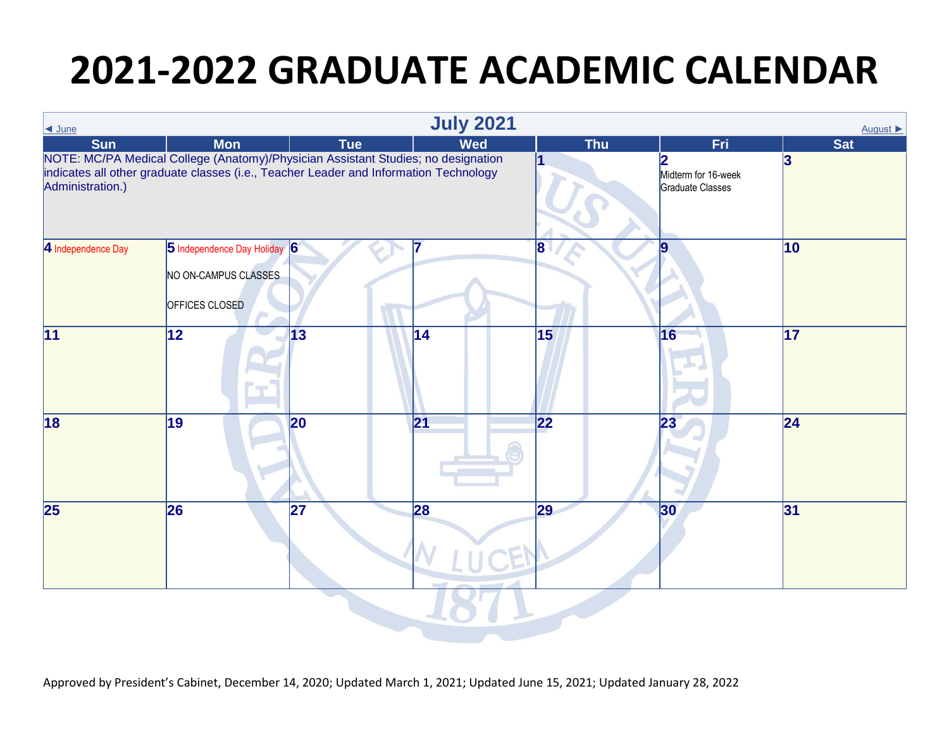| $\triangleleft$ June     |                                                                                                                                                                            |                 | <b>July 2021</b> |                 |                                         | August ▶        |
|--------------------------|----------------------------------------------------------------------------------------------------------------------------------------------------------------------------|-----------------|------------------|-----------------|-----------------------------------------|-----------------|
| <b>Sun</b>               | <b>Mon</b>                                                                                                                                                                 | <b>Tue</b>      | <b>Wed</b>       | <b>Thu</b>      | Fri                                     | <b>Sat</b>      |
| Administration.)         | NOTE: MC/PA Medical College (Anatomy)/Physician Assistant Studies; no designation<br>indicates all other graduate classes (i.e., Teacher Leader and Information Technology |                 |                  |                 | Midterm for 16-week<br>Graduate Classes | 3               |
| 4 Independence Day       | 5 Independence Day Holiday 6<br>NO ON-CAMPUS CLASSES<br>OFFICES CLOSED                                                                                                     |                 |                  | 8               | 19                                      | 10              |
| 11                       | 12                                                                                                                                                                         | $\overline{13}$ | 14               | 15              | 16                                      | $\overline{17}$ |
| 18                       | $\overline{19}$                                                                                                                                                            | 20              | $\overline{21}$  | $\overline{22}$ | 23                                      | $\overline{24}$ |
| $\overline{\mathbf{25}}$ | 26                                                                                                                                                                         | 27              | 28               | $\overline{29}$ | $ 30\rangle$                            | 31              |
|                          |                                                                                                                                                                            |                 |                  |                 |                                         |                 |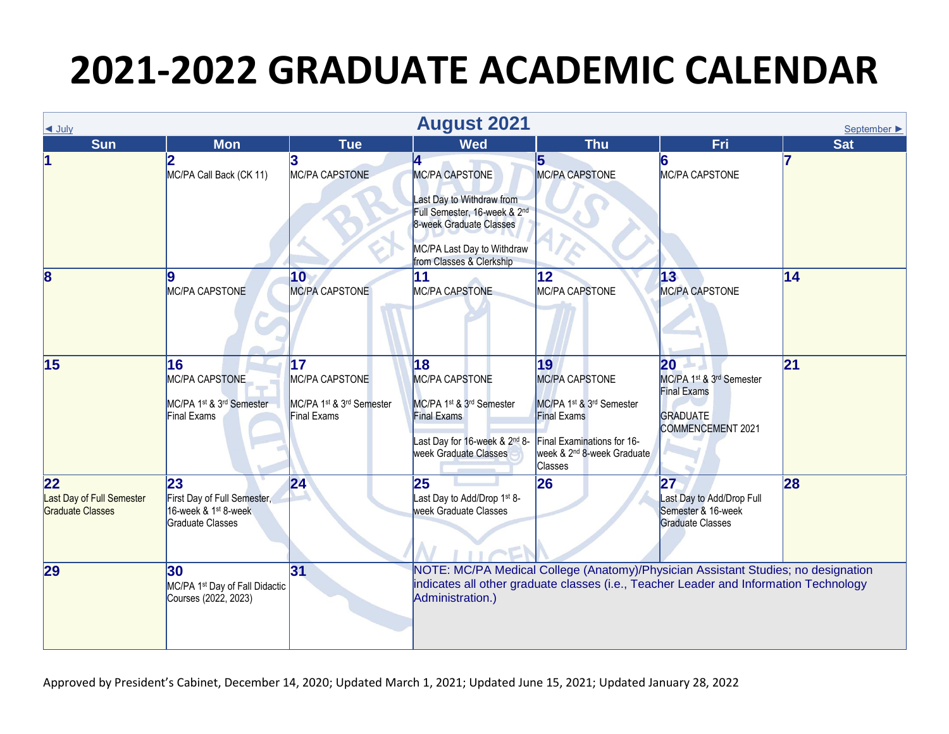| $\triangleleft$ July                                |                                                                                           |                                                                 | <b>August 2021</b>                                                                                                                                                           |                                                                                                                                                                  |                                                                                                     | September $\blacktriangleright$ |
|-----------------------------------------------------|-------------------------------------------------------------------------------------------|-----------------------------------------------------------------|------------------------------------------------------------------------------------------------------------------------------------------------------------------------------|------------------------------------------------------------------------------------------------------------------------------------------------------------------|-----------------------------------------------------------------------------------------------------|---------------------------------|
| Sun                                                 | <b>Mon</b>                                                                                | <b>Tue</b>                                                      | <b>Wed</b>                                                                                                                                                                   | <b>Thu</b>                                                                                                                                                       | Fri                                                                                                 | <b>Sat</b>                      |
|                                                     | 2<br>MC/PA Call Back (CK 11)                                                              | MC/PA CAPSTONE                                                  | 4<br><b>MC/PA CAPSTONE</b><br>Last Day to Withdraw from<br>Full Semester, 16-week & 2nd<br>8-week Graduate Classes<br>MC/PA Last Day to Withdraw<br>from Classes & Clerkship | 5<br>MC/PA CAPSTONE                                                                                                                                              | MC/PA CAPSTONE                                                                                      |                                 |
| $\overline{\mathbf{8}}$                             | Ι9<br>MC/PA CAPSTONE                                                                      | 10<br>MC/PA CAPSTONE                                            | 11<br>MC/PA CAPSTONE                                                                                                                                                         | 12 <sup>°</sup><br>MC/PA CAPSTONE                                                                                                                                | $ 13\rangle$<br>MC/PA CAPSTONE                                                                      | 14                              |
| 15                                                  | 16<br>MC/PA CAPSTONE<br>MC/PA 1st & 3rd Semester<br><b>Final Exams</b>                    | 17<br>MC/PA CAPSTONE<br>MC/PA 1st & 3rd Semester<br>Final Exams | 18<br>MC/PA CAPSTONE<br>MC/PA 1st & 3rd Semester<br><b>Final Exams</b><br>Last Day for 16-week & 2nd 8-<br>week Graduate Classes                                             | 19<br>MC/PA CAPSTONE<br>MC/PA 1st & 3rd Semester<br><b>Final Exams</b><br>Final Examinations for 16-<br>week & 2 <sup>nd</sup> 8-week Graduate<br><b>Classes</b> | 20<br>MC/PA 1st & 3rd Semester<br><b>Final Exams</b><br><b>GRADUATE</b><br><b>COMMENCEMENT 2021</b> | $\overline{21}$                 |
| 22<br>Last Day of Full Semester<br>Graduate Classes | 23<br>First Day of Full Semester,<br>16-week & 1 <sup>st</sup> 8-week<br>Graduate Classes | 24                                                              | 25<br>Last Day to Add/Drop 1 <sup>st</sup> 8-<br>week Graduate Classes                                                                                                       | 26                                                                                                                                                               | 27<br>Last Day to Add/Drop Full<br>Semester & 16-week<br><b>Graduate Classes</b>                    | 28                              |
| 29                                                  | 30<br>MC/PA 1 <sup>st</sup> Day of Fall Didactic<br>Courses (2022, 2023)                  | 31                                                              | indicates all other graduate classes (i.e., Teacher Leader and Information Technology<br>Administration.)                                                                    | NOTE: MC/PA Medical College (Anatomy)/Physician Assistant Studies; no designation                                                                                |                                                                                                     |                                 |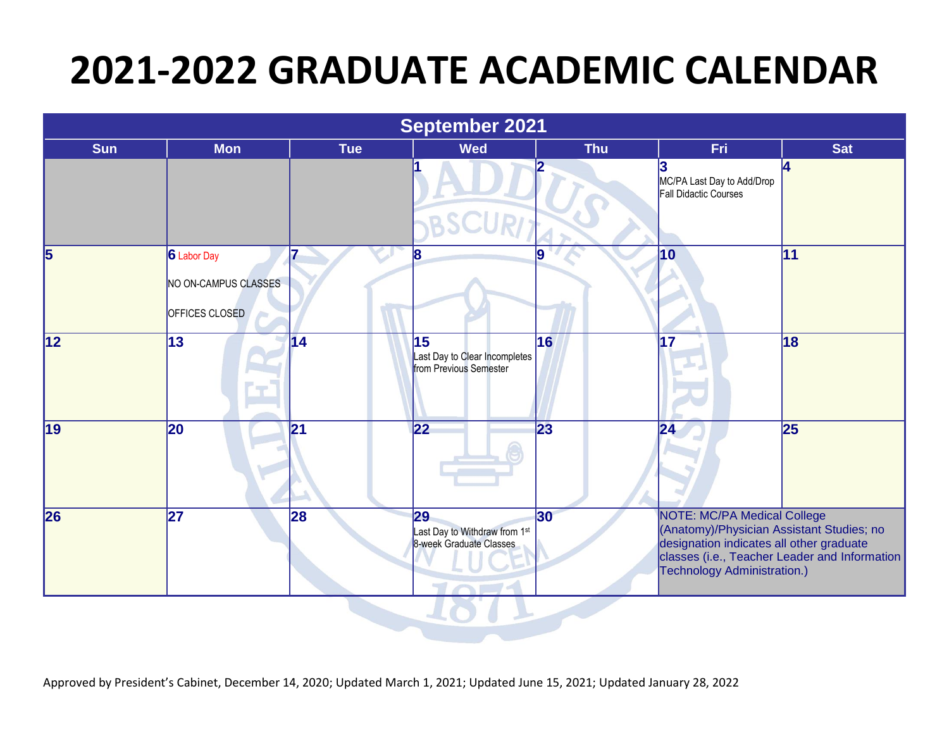| September 2021  |                                                       |                 |                                                                |            |                                                                                                                                                            |                                               |  |
|-----------------|-------------------------------------------------------|-----------------|----------------------------------------------------------------|------------|------------------------------------------------------------------------------------------------------------------------------------------------------------|-----------------------------------------------|--|
| <b>Sun</b>      | <b>Mon</b>                                            | <b>Tue</b>      | <b>Wed</b>                                                     | <b>Thu</b> | Fri                                                                                                                                                        | <b>Sat</b>                                    |  |
|                 |                                                       |                 |                                                                |            | MC/PA Last Day to Add/Drop<br>Fall Didactic Courses                                                                                                        | 14                                            |  |
| 5               | 6 Labor Day<br>NO ON-CAMPUS CLASSES<br>OFFICES CLOSED |                 | 8                                                              |            | 10                                                                                                                                                         | 11                                            |  |
| $\overline{12}$ | $\overline{13}$                                       | $\overline{14}$ | 15<br>Last Day to Clear Incompletes<br>from Previous Semester  | 16         | 17                                                                                                                                                         | 18                                            |  |
| $\overline{19}$ | 20                                                    | 21              | $\overline{22}$                                                | 23         | 24                                                                                                                                                         | 25                                            |  |
| 26              | $\overline{27}$                                       | 28              | 29<br>Last Day to Withdraw from 1st<br>8-week Graduate Classes | 30         | <b>NOTE: MC/PA Medical College</b><br>(Anatomy)/Physician Assistant Studies; no<br>designation indicates all other graduate<br>Technology Administration.) | classes (i.e., Teacher Leader and Information |  |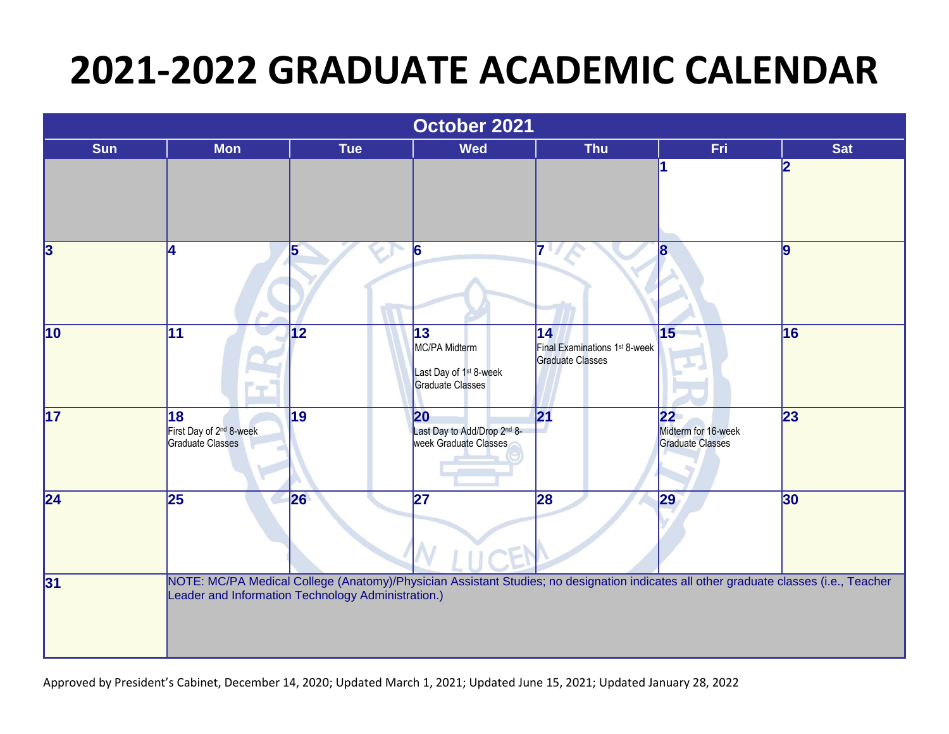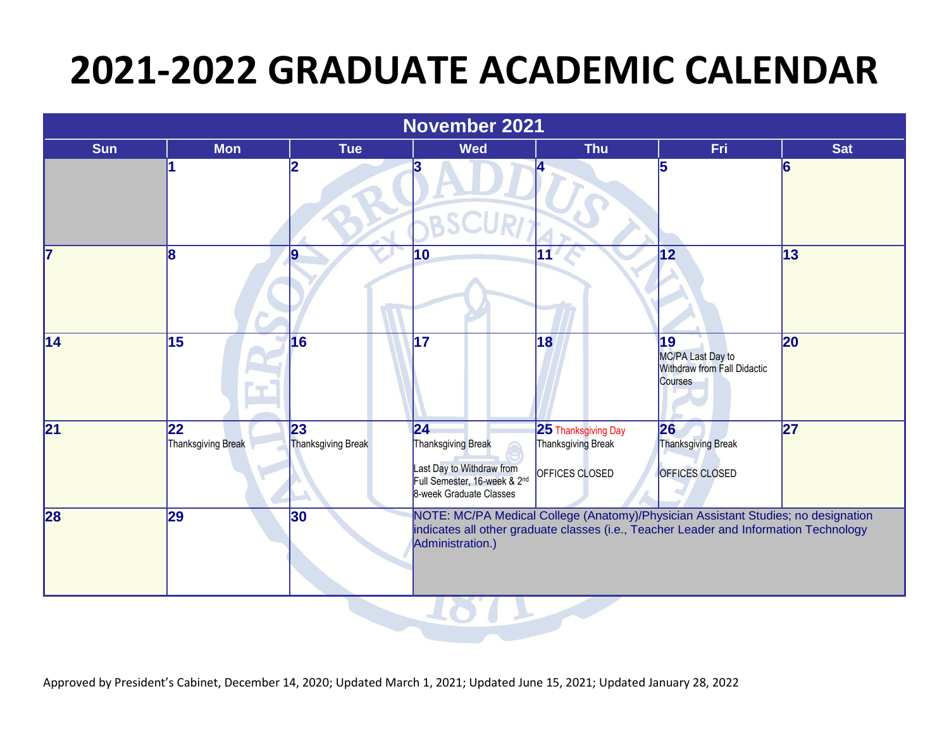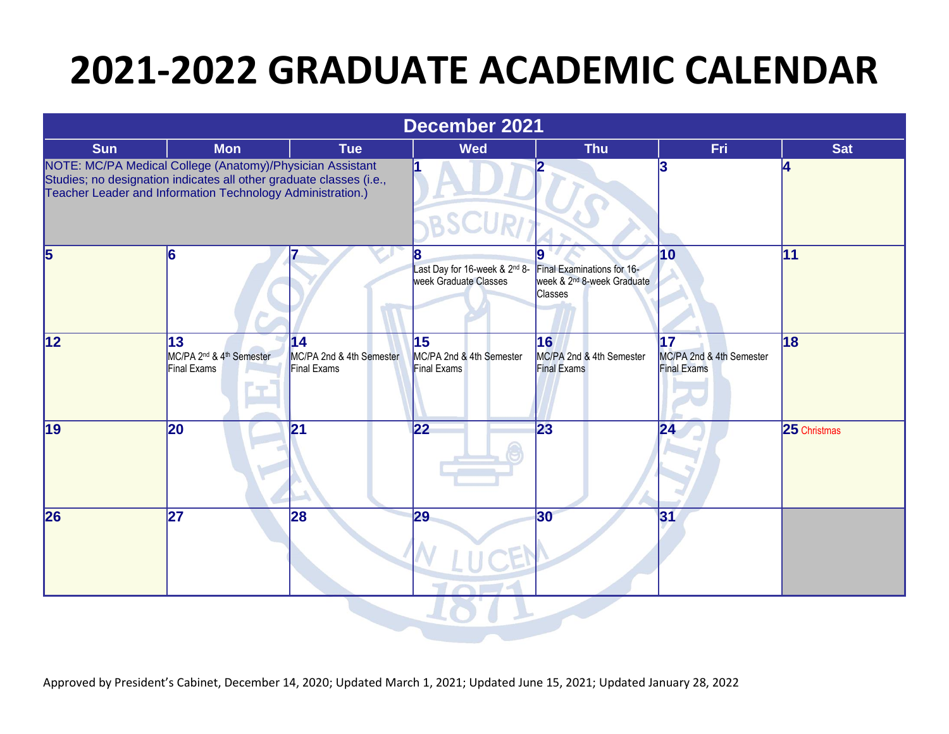|                 |                                                                                                                                                                                                |                                                            | <b>December 2021</b>                                        |                                                                                        |                                                      |              |
|-----------------|------------------------------------------------------------------------------------------------------------------------------------------------------------------------------------------------|------------------------------------------------------------|-------------------------------------------------------------|----------------------------------------------------------------------------------------|------------------------------------------------------|--------------|
| <b>Sun</b>      | <b>Mon</b>                                                                                                                                                                                     | <b>Tue</b>                                                 | <b>Wed</b>                                                  | <b>Thu</b>                                                                             | Fri                                                  | <b>Sat</b>   |
|                 | NOTE: MC/PA Medical College (Anatomy)/Physician Assistant<br>Studies; no designation indicates all other graduate classes (i.e.,<br>Teacher Leader and Information Technology Administration.) |                                                            |                                                             |                                                                                        |                                                      | 14           |
| 5               | 16                                                                                                                                                                                             |                                                            | 8<br>Last Day for 16-week & 2nd 8-<br>week Graduate Classes | Final Examinations for 16-<br>week & 2 <sup>nd</sup> 8-week Graduate<br><b>Classes</b> | 10                                                   | 11           |
| $\overline{12}$ | 13<br>MC/PA 2 <sup>nd</sup> & 4 <sup>th</sup> Semester<br>Final Exams                                                                                                                          | $\overline{14}$<br>MC/PA 2nd & 4th Semester<br>Final Exams | 15<br>MC/PA 2nd & 4th Semester<br><b>Final Exams</b>        | 16<br>MC/PA 2nd & 4th Semester<br><b>Final Exams</b>                                   | 17<br>MC/PA 2nd & 4th Semester<br><b>Final Exams</b> | 18           |
| 19              | 20                                                                                                                                                                                             | 21                                                         | 22                                                          | 23                                                                                     | 24                                                   | 25 Christmas |
| 26              | 27                                                                                                                                                                                             | 28                                                         | 29                                                          | 30                                                                                     | 31                                                   |              |

 $\sim$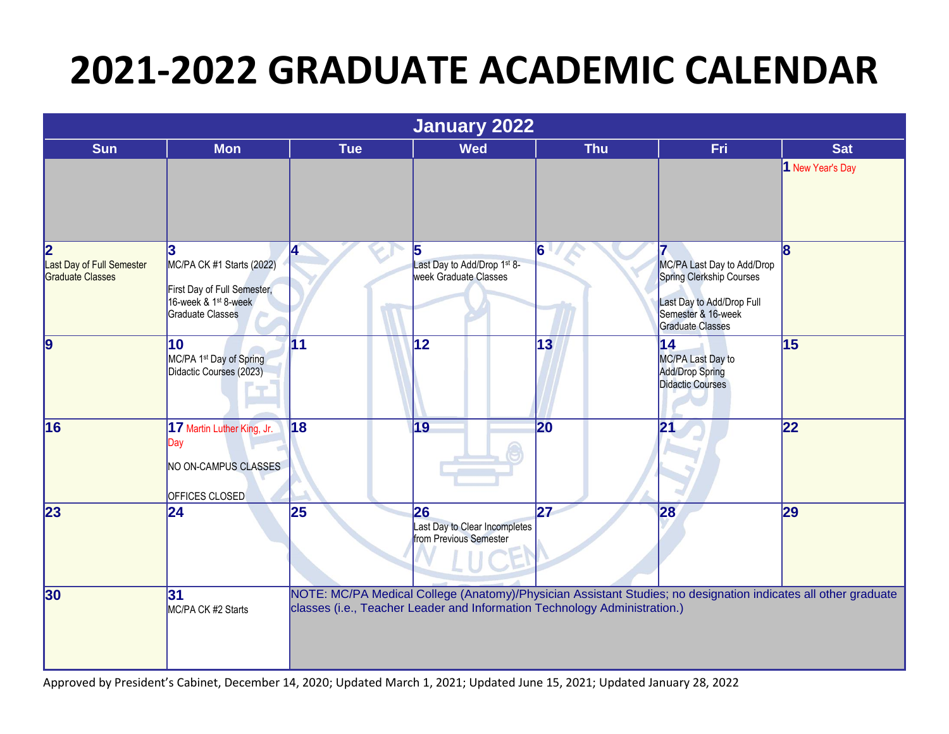|                                                           | January 2022                                                                                                                 |                 |                                                                                                                                                                                             |            |                                                                                                                                      |                  |  |  |
|-----------------------------------------------------------|------------------------------------------------------------------------------------------------------------------------------|-----------------|---------------------------------------------------------------------------------------------------------------------------------------------------------------------------------------------|------------|--------------------------------------------------------------------------------------------------------------------------------------|------------------|--|--|
| <b>Sun</b>                                                | <b>Mon</b>                                                                                                                   | <b>Tue</b>      | <b>Wed</b>                                                                                                                                                                                  | <b>Thu</b> | Fri                                                                                                                                  | <b>Sat</b>       |  |  |
|                                                           |                                                                                                                              |                 |                                                                                                                                                                                             |            |                                                                                                                                      | 1 New Year's Day |  |  |
| 2<br>Last Day of Full Semester<br><b>Graduate Classes</b> | 3<br>MC/PA CK #1 Starts (2022)<br>First Day of Full Semester,<br>16-week & 1 <sup>st</sup> 8-week<br><b>Graduate Classes</b> | 4               | 15<br>Last Day to Add/Drop 1st 8-<br>week Graduate Classes                                                                                                                                  | 6          | MC/PA Last Day to Add/Drop<br>Spring Clerkship Courses<br>Last Day to Add/Drop Full<br>Semester & 16-week<br><b>Graduate Classes</b> | 8                |  |  |
| $\overline{9}$                                            | $\overline{10}$<br>MC/PA 1 <sup>st</sup> Day of Spring<br>Didactic Courses (2023)                                            | $\overline{11}$ | $\overline{12}$                                                                                                                                                                             | 13         | 14<br>MC/PA Last Day to<br>Add/Drop Spring<br><b>Didactic Courses</b>                                                                | 15               |  |  |
| 16                                                        | 17 Martin Luther King, Jr.<br>Day<br>NO ON-CAMPUS CLASSES<br><b>OFFICES CLOSED</b>                                           | 18              | $\overline{19}$                                                                                                                                                                             | 20         | 21                                                                                                                                   | 22               |  |  |
| 23                                                        | 24                                                                                                                           | 25              | 26<br>Last Day to Clear Incompletes<br>from Previous Semester                                                                                                                               | 27         | 28                                                                                                                                   | 29               |  |  |
| 30                                                        | 31<br>MC/PA CK #2 Starts                                                                                                     |                 | NOTE: MC/PA Medical College (Anatomy)/Physician Assistant Studies; no designation indicates all other graduate<br>classes (i.e., Teacher Leader and Information Technology Administration.) |            |                                                                                                                                      |                  |  |  |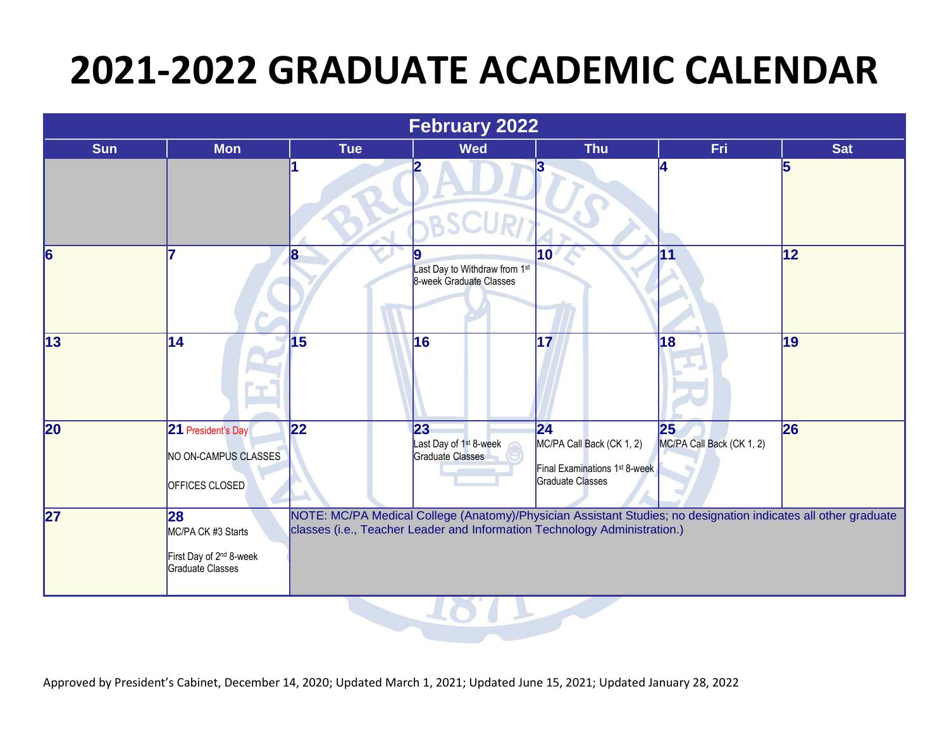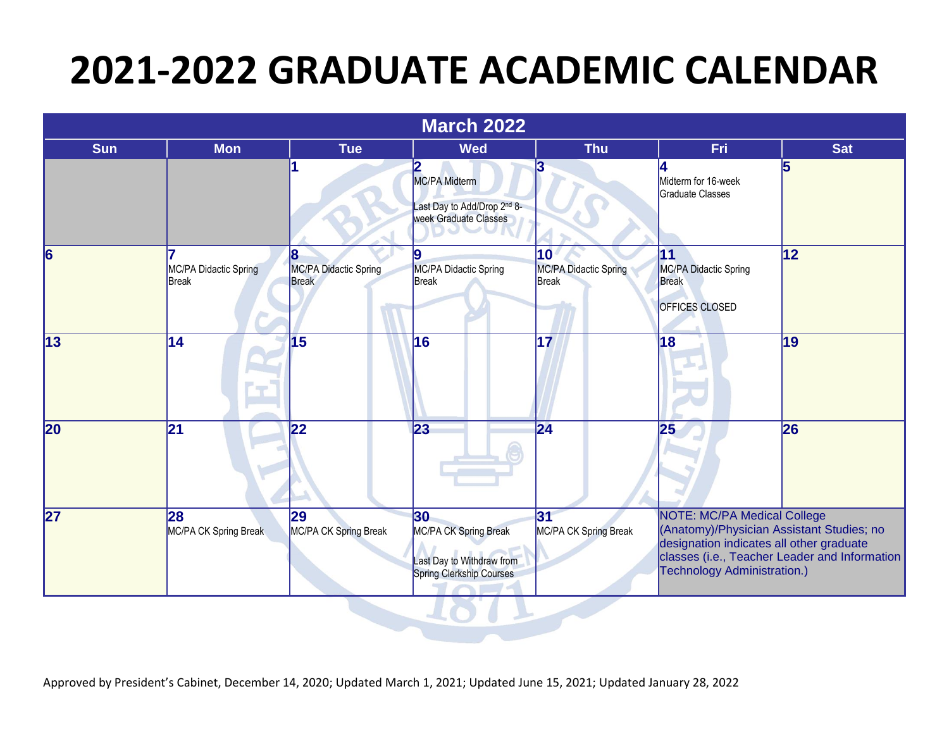|                 |                                       |                                            | <b>March 2022</b>                                                                          |                                                       |                                                                                                                                                            |                                               |
|-----------------|---------------------------------------|--------------------------------------------|--------------------------------------------------------------------------------------------|-------------------------------------------------------|------------------------------------------------------------------------------------------------------------------------------------------------------------|-----------------------------------------------|
| <b>Sun</b>      | <b>Mon</b>                            | <b>Tue</b>                                 | <b>Wed</b>                                                                                 | <b>Thu</b>                                            | Fri                                                                                                                                                        | <b>Sat</b>                                    |
|                 |                                       |                                            | <b>MC/PA Midterm</b><br>ast Day to Add/Drop 2nd 8-<br>week Graduate Classes                |                                                       | Midterm for 16-week<br>Graduate Classes                                                                                                                    | 5                                             |
| $\vert 6 \vert$ | MC/PA Didactic Spring<br><b>Break</b> | 8<br>MC/PA Didactic Spring<br><b>Break</b> | 9<br>MC/PA Didactic Spring<br>Break                                                        | $ 10\rangle$<br>MC/PA Didactic Spring<br><b>Break</b> | 11<br>MC/PA Didactic Spring<br><b>Break</b><br>OFFICES CLOSED                                                                                              | 12                                            |
| $\overline{13}$ | 14                                    | 15                                         | 16                                                                                         | 17                                                    | 18                                                                                                                                                         | 19                                            |
| 20              | 21                                    | 22                                         | 23                                                                                         | $\overline{24}$                                       | 25                                                                                                                                                         | 26                                            |
| 27              | 28<br>MC/PA CK Spring Break           | 29<br>MC/PA CK Spring Break                | 30<br><b>MC/PA CK Spring Break</b><br>ast Day to Withdraw from<br>Spring Clerkship Courses | $\overline{31}$<br>MC/PA CK Spring Break              | NOTE: MC/PA Medical College<br>(Anatomy)/Physician Assistant Studies; no<br>designation indicates all other graduate<br><b>Technology Administration.)</b> | classes (i.e., Teacher Leader and Information |

7017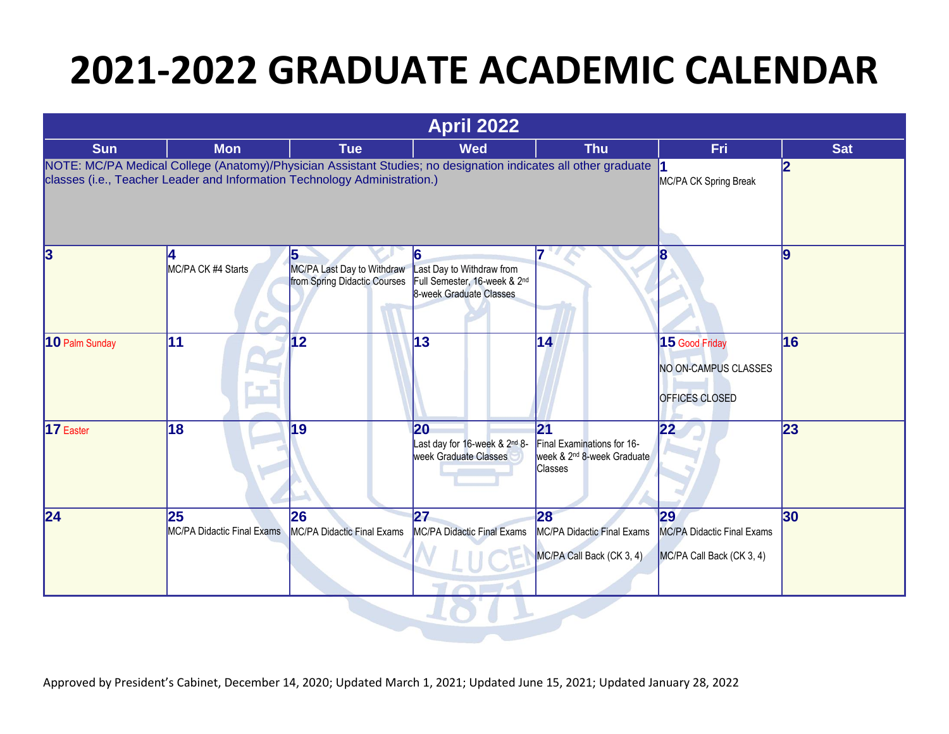| <b>April 2022</b> |                                                                                                                                                                                             |                                                                  |                                                                                           |                                                                                                           |                                                                   |            |  |
|-------------------|---------------------------------------------------------------------------------------------------------------------------------------------------------------------------------------------|------------------------------------------------------------------|-------------------------------------------------------------------------------------------|-----------------------------------------------------------------------------------------------------------|-------------------------------------------------------------------|------------|--|
| <b>Sun</b>        | <b>Mon</b>                                                                                                                                                                                  | <b>Tue</b>                                                       | <b>Wed</b>                                                                                | <b>Thu</b>                                                                                                | Fri                                                               | <b>Sat</b> |  |
|                   | NOTE: MC/PA Medical College (Anatomy)/Physician Assistant Studies; no designation indicates all other graduate<br>classes (i.e., Teacher Leader and Information Technology Administration.) |                                                                  |                                                                                           |                                                                                                           | MC/PA CK Spring Break                                             | 12         |  |
| 3                 | MC/PA CK #4 Starts                                                                                                                                                                          | 15<br>MC/PA Last Day to Withdraw<br>from Spring Didactic Courses | 6<br>Last Day to Withdraw from<br>Full Semester, 16-week & 2nd<br>8-week Graduate Classes |                                                                                                           |                                                                   | l9         |  |
| 10 Palm Sunday    | 11                                                                                                                                                                                          | 12                                                               | 13                                                                                        | 14                                                                                                        | $15$ Good Friday<br>NO ON-CAMPUS CLASSES<br><b>OFFICES CLOSED</b> | 16         |  |
| 17 Easter         | 18                                                                                                                                                                                          | 19                                                               | 20<br>Last day for 16-week & 2 <sup>nd</sup> 8-<br>week Graduate Classes                  | $\overline{21}$<br>Final Examinations for 16-<br>week & 2 <sup>nd</sup> 8-week Graduate<br><b>Classes</b> | 22                                                                | 23         |  |
| $\overline{24}$   | 25<br>MC/PA Didactic Final Exams                                                                                                                                                            | 26<br>MC/PA Didactic Final Exams                                 | 27<br><b>MC/PA Didactic Final Exams</b>                                                   | 28<br>MC/PA Didactic Final Exams<br>MC/PA Call Back (CK 3, 4)                                             | 29<br>MC/PA Didactic Final Exams<br>MC/PA Call Back (CK 3, 4)     | 30         |  |

 $\sim$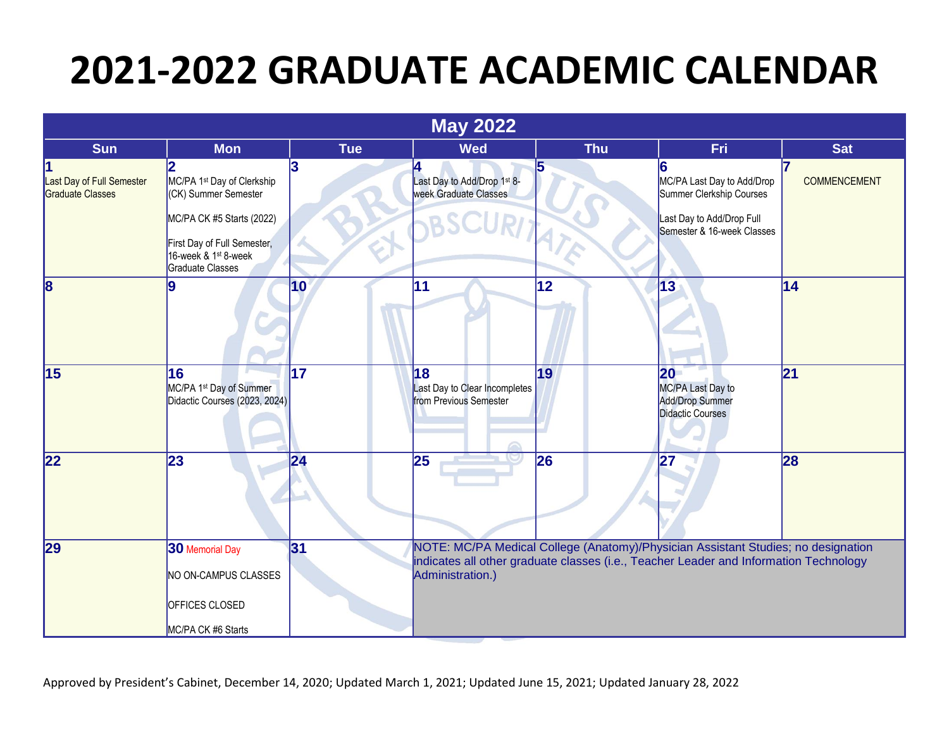|                                               |                                                                                                                  |                 | <b>May 2022</b>                                               |            |                                                                                                                                                                            |                     |
|-----------------------------------------------|------------------------------------------------------------------------------------------------------------------|-----------------|---------------------------------------------------------------|------------|----------------------------------------------------------------------------------------------------------------------------------------------------------------------------|---------------------|
| <b>Sun</b>                                    | <b>Mon</b>                                                                                                       | <b>Tue</b>      | <b>Wed</b>                                                    | <b>Thu</b> | Fri                                                                                                                                                                        | <b>Sat</b>          |
| Last Day of Full Semester<br>Graduate Classes | MC/PA 1 <sup>st</sup> Day of Clerkship<br>(CK) Summer Semester                                                   | 3               | Last Day to Add/Drop 1st 8-<br>week Graduate Classes          |            | MC/PA Last Day to Add/Drop<br>Summer Clerkship Courses                                                                                                                     | <b>COMMENCEMENT</b> |
|                                               | MC/PA CK #5 Starts (2022)<br>First Day of Full Semester,<br>16-week & 1 <sup>st</sup> 8-week<br>Graduate Classes |                 |                                                               |            | Last Day to Add/Drop Full<br>Semester & 16-week Classes                                                                                                                    |                     |
| 18                                            | <b>lg</b>                                                                                                        | $ 10\rangle$    | 11                                                            | 12         | 13                                                                                                                                                                         | 14                  |
| $\overline{15}$                               | 16<br>MC/PA 1 <sup>st</sup> Day of Summer<br>Didactic Courses (2023, 2024)                                       | $\overline{17}$ | 18<br>Last Day to Clear Incompletes<br>from Previous Semester | 19         | 20<br>MC/PA Last Day to<br><b>Add/Drop Summer</b><br>Didactic Courses                                                                                                      | $\overline{21}$     |
| 22                                            | 23                                                                                                               | 24              | 25                                                            | 26         | 27                                                                                                                                                                         | 28                  |
| 29                                            | <b>30</b> Memorial Day<br>NO ON-CAMPUS CLASSES<br>OFFICES CLOSED                                                 | 31              | Administration.)                                              |            | NOTE: MC/PA Medical College (Anatomy)/Physician Assistant Studies; no designation<br>indicates all other graduate classes (i.e., Teacher Leader and Information Technology |                     |
|                                               | MC/PA CK #6 Starts                                                                                               |                 |                                                               |            |                                                                                                                                                                            |                     |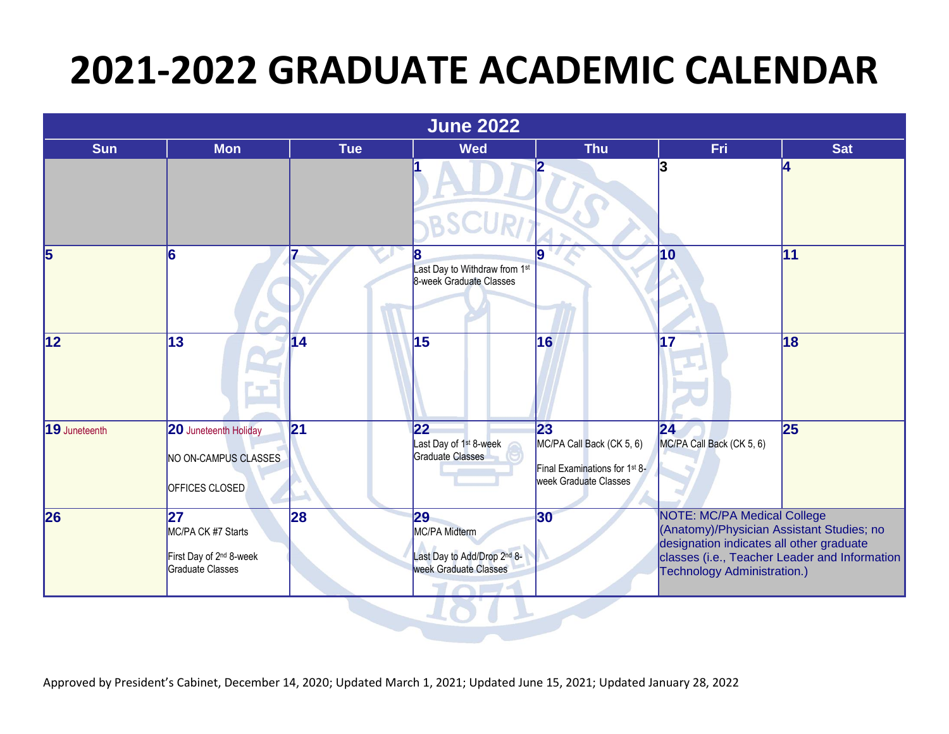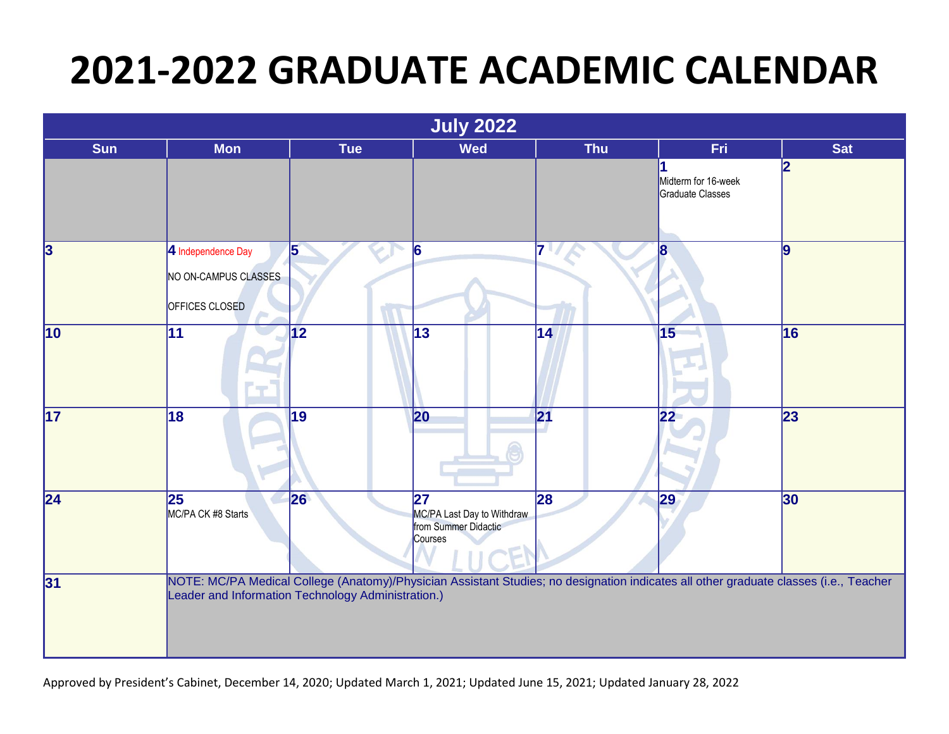